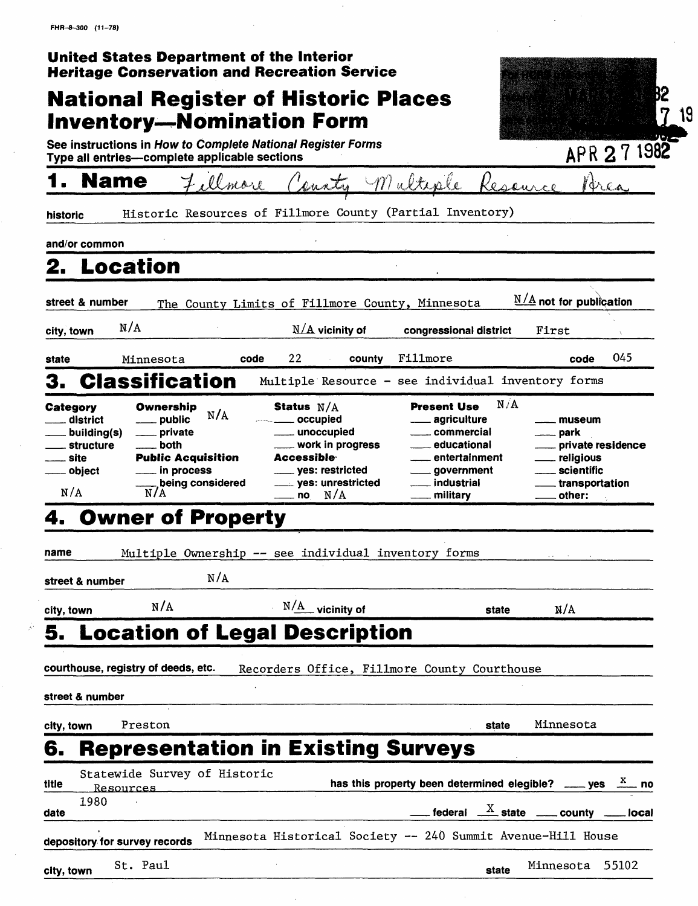|                                                                                                                                                                                | United States Department of the Interior<br><b>Heritage Conservation and Recreation Service</b>                                                                                                              |                                                                                                                                                                                    |                                                                                            |
|--------------------------------------------------------------------------------------------------------------------------------------------------------------------------------|--------------------------------------------------------------------------------------------------------------------------------------------------------------------------------------------------------------|------------------------------------------------------------------------------------------------------------------------------------------------------------------------------------|--------------------------------------------------------------------------------------------|
|                                                                                                                                                                                | <b>National Register of Historic Places</b>                                                                                                                                                                  |                                                                                                                                                                                    | B2                                                                                         |
|                                                                                                                                                                                | <b>Inventory—Nomination Form</b>                                                                                                                                                                             |                                                                                                                                                                                    | 7                                                                                          |
| Type all entries-complete applicable sections                                                                                                                                  | See instructions in How to Complete National Register Forms                                                                                                                                                  |                                                                                                                                                                                    | APR 27 1982                                                                                |
| <b>Name</b>                                                                                                                                                                    | Fillmore<br>County Multiple                                                                                                                                                                                  | Reservice                                                                                                                                                                          | Brea                                                                                       |
| historic                                                                                                                                                                       | Historic Resources of Fillmore County (Partial Inventory)                                                                                                                                                    |                                                                                                                                                                                    |                                                                                            |
| and/or common                                                                                                                                                                  |                                                                                                                                                                                                              |                                                                                                                                                                                    |                                                                                            |
| 2. Location                                                                                                                                                                    |                                                                                                                                                                                                              |                                                                                                                                                                                    |                                                                                            |
| street & number                                                                                                                                                                | The County Limits of Fillmore County, Minnesota                                                                                                                                                              |                                                                                                                                                                                    | $N/A$ not for publication                                                                  |
| N/A<br>city, town                                                                                                                                                              | $N/A$ vicinity of                                                                                                                                                                                            | congressional district                                                                                                                                                             | First                                                                                      |
| Minnesota<br>state                                                                                                                                                             | 22<br>county<br>code                                                                                                                                                                                         | Fillmore                                                                                                                                                                           | 045<br>code                                                                                |
| <b>Classification</b><br>З.                                                                                                                                                    |                                                                                                                                                                                                              | Multiple Resource - see individual inventory forms                                                                                                                                 |                                                                                            |
| Category<br>Ownership<br>public<br>district<br>private<br>. building(s)<br>both<br><b>structure</b><br><b>Public Acquisition</b><br>site<br>in process<br>object<br>N/A<br>N/A | Status $N/A$<br>N/A<br>____ occupied<br>_____ unoccupied<br>work in progress<br>Accessible <sup>.</sup><br>____ yes: restricted<br>being considered<br>____ yes: unrestricted<br>$\frac{1}{\sqrt{a}}$ no N/A | N/A<br><b>Present Use</b><br><u>__</u> __ agriculture<br>commercial<br>educational<br>entertainment<br><sub>-</sub> government<br><sub>—</sub> industrial<br><sub>—</sub> military | museum<br>park<br>private residence<br>religious<br>scientific<br>transportation<br>other: |
| <b>Owner of Property</b><br>4.                                                                                                                                                 |                                                                                                                                                                                                              |                                                                                                                                                                                    |                                                                                            |
| name                                                                                                                                                                           | Multiple Ownership -- see individual inventory forms<br>N/A                                                                                                                                                  |                                                                                                                                                                                    |                                                                                            |
| street & number                                                                                                                                                                |                                                                                                                                                                                                              |                                                                                                                                                                                    |                                                                                            |
| N/A<br>city, town                                                                                                                                                              | $N/\text{A}$ vicinity of                                                                                                                                                                                     | state                                                                                                                                                                              | N/A                                                                                        |
| courthouse, registry of deeds, etc.                                                                                                                                            | 5. Location of Legal Description                                                                                                                                                                             |                                                                                                                                                                                    |                                                                                            |
| street & number                                                                                                                                                                |                                                                                                                                                                                                              | Recorders Office, Fillmore County Courthouse                                                                                                                                       |                                                                                            |
| Preston<br>city, town                                                                                                                                                          |                                                                                                                                                                                                              | state                                                                                                                                                                              | Minnesota                                                                                  |
| 6.                                                                                                                                                                             | <b>Representation in Existing Surveys</b>                                                                                                                                                                    |                                                                                                                                                                                    |                                                                                            |
| Statewide Survey of Historic<br>title<br>Resources                                                                                                                             |                                                                                                                                                                                                              | has this property been determined elegible? $\frac{X}{X}$ yes $\frac{X}{X}$ no                                                                                                     |                                                                                            |
| 1980<br>date                                                                                                                                                                   |                                                                                                                                                                                                              |                                                                                                                                                                                    | federal $\frac{X}{X}$ state $\frac{X}{X}$ county $\frac{X}{X}$ local                       |
| depository for survey records                                                                                                                                                  | Minnesota Historical Society -- 240 Summit Avenue-Hill House                                                                                                                                                 |                                                                                                                                                                                    |                                                                                            |
| St. Paul<br>city, town                                                                                                                                                         |                                                                                                                                                                                                              | state                                                                                                                                                                              | 55102<br>Minnesota                                                                         |

÷.

 $\bar{\mathbf{r}}$ 

19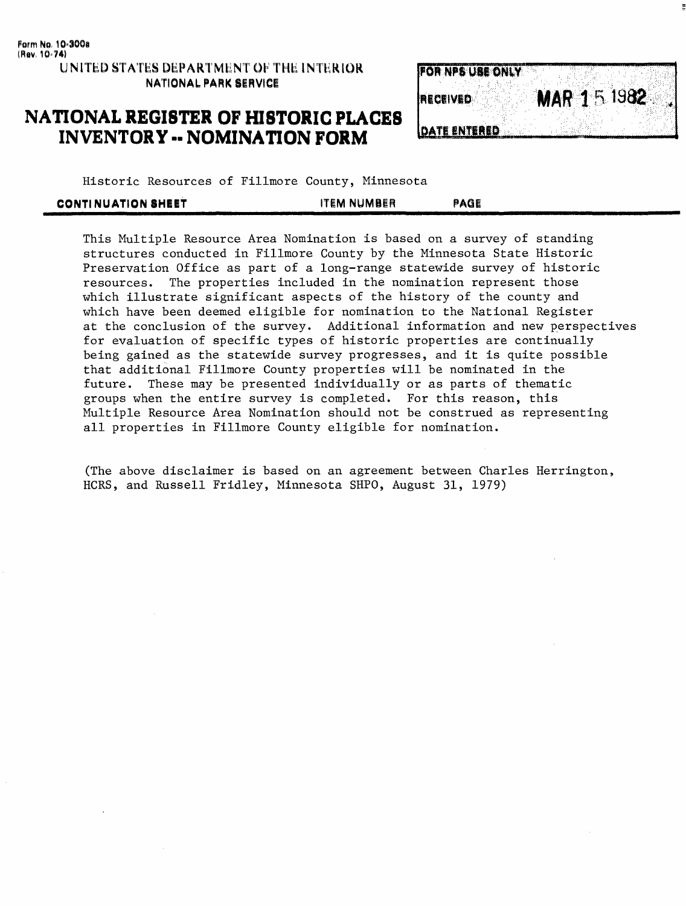## **NATIONAL REGISTER OF HISTORIC PLACES INVENTORY -- NOMINATION FORM**



Historic Resources of Fillmore County, Minnesota

| <b>CONTINUATION SHEET</b> | <b>ITEM NUMBER</b> | PAGE |
|---------------------------|--------------------|------|
|                           |                    |      |

This Multiple Resource Area Nomination is based on a survey of standing structures conducted in Fillmore County by the Minnesota State Historic Preservation Office as part of a long-range statewide survey of historic resources. The properties included in the nomination represent those which illustrate significant aspects of the history of the county and which have been deemed eligible for nomination to the National Register at the conclusion of the survey. Additional information and new perspectives for evaluation of specific types of historic properties are continually being gained as the statewide survey progresses, and it is quite possible that additional Fillmore County properties will be nominated in the future. These may be presented individually or as parts of thematic groups when the entire survey is completed. For this reason, this Multiple Resource Area Nomination should not be construed as representing all properties in Fillmore County eligible for nomination.

(The above disclaimer is based on an agreement between Charles Herrington, HCRS, and Russell Fridley, Minnesota SHPO, August 31, 1979)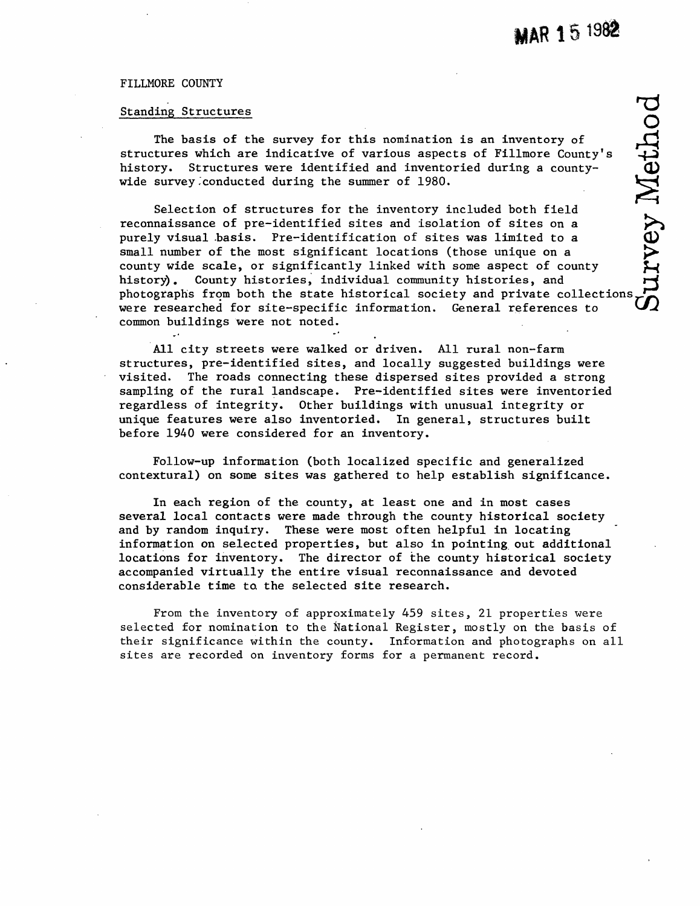#### FILLMORE COUNTY

#### Standing Structures

The basis of the survey for this nomination is an inventory of structures which are indicative of various aspects of Fillmore County's history. Structures were identified and inventoried during a countywide survey .conducted during the summer of 1980.

Selection of structures for the inventory included both field reconnaissance of pre-identified sites and isolation of sites on a purely visual .basis. Pre-identification of sites was limited to a small number of the most significant locations (those unique on a county wide scale, or significantly linked with some aspect of county history). County histories, individual community histories, and From the basis of the survey for this nomination is an inventory of<br>structures which are indicative of various aspects of Fillmore County's<br>history. Structures were identified and inventoried during a county-<br>wide survey c were researched for site-specific information. General references to ' common buildings were not noted.

All city streets were walked or driven. All rural non-farm structures, pre-identified sites, and locally suggested buildings were visited. The roads connecting these dispersed sites provided a strong sampling of the rural landscape. Pre-identified sites were inventoried regardless of integrity. Other buildings with unusual integrity or unique features were also inventoried. In general, structures built before 1940 were considered for an inventory.

Follow-up information (both localized specific and generalized contextural) on some sites was gathered to help establish significance.

In each region of the county, at least one and in most cases several local contacts were made through the county historical society and by random inquiry. These were most often helpful in locating information on selected properties, but also in pointing out additional locations for inventory. The director of the county historical society accompanied virtually the entire visual reconnaissance and devoted considerable time to, the selected site research.

From the inventory of approximately 459 sites, 21 properties were selected for nomination to the National Register, mostly on the basis of their significance within the county. Information and photographs on all sites are recorded on inventory forms for a permanent record.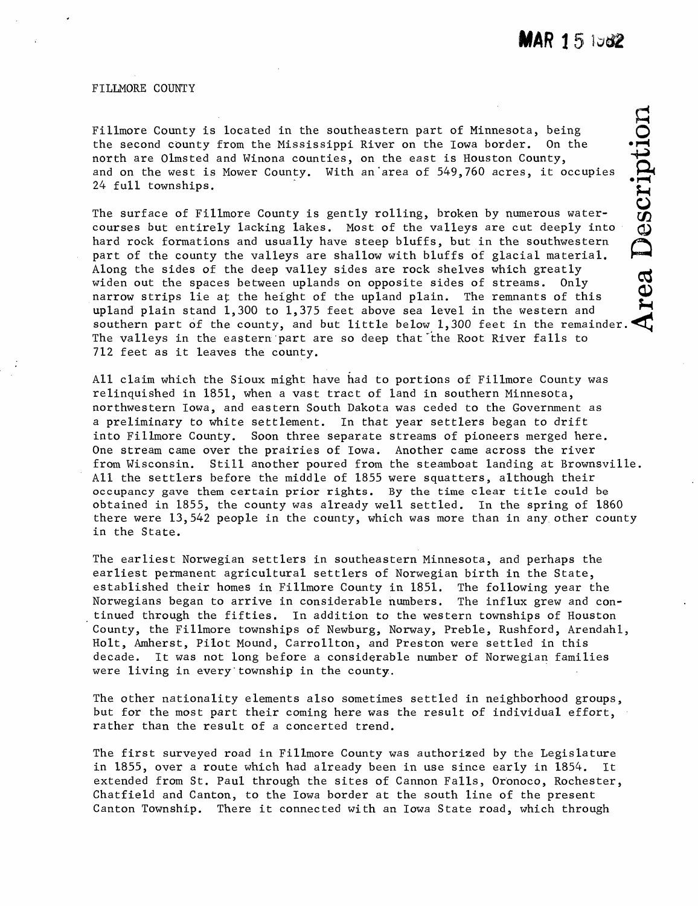FILLMORE COUNTY

Fillmore County is located in the southeastern part of Minnesota, being the second county from the Mississippi River on the Iowa border. On the north are Olmsted and Winona counties, on the east is Houston County, and on the west is Mower County. With an'area of 549,760 acres, it occupies

Fillmore County is located in the southeastern part of Minnesota, being<br>the second county from the Mississippi River on the Iowa border. On the<br>north are Olmsted and Winona counties, on the east is Houston County,<br>and on The surface of Fillmore County is gently rolling, broken by numerous watercourses but entirely lacking lakes. Most of the valleys are cut deeply into ^ hard rock formations and usually have steep bluffs, but in the southwestern part of the county the valleys are shallow with bluffs of glacial material. Along the sides of the deep valley sides are rock shelves which greatly ^ widen out the spaces between uplands on opposite sides of streams. Only narrow strips lie at the height of the upland plain. The remnants of this upland plain stand 1,300 to 1,375 feet above sea level in the western and southern part of the county, and but little below 1,300 feet in the remainder. The valleys in the eastern'part are so deep that'the Root River falls to 712 feet as it leaves the county.

All claim which the Sioux might have had to portions of Fillmore County was relinquished in 1851, when a vast tract of land in southern Minnesota, northwestern Iowa, and eastern South Dakota was ceded to the Government as a preliminary to white settlement. In that year settlers began to drift into Fillmore County. Soon three separate streams of pioneers merged here. One stream came over the prairies of Iowa. Another came across the river from Wisconsin. Still another poured from the steamboat landing at Brownsville. All the settlers before the middle of 1855 were squatters, although their occupancy gave them certain prior rights. By the time clear title could be obtained in 1855, the county was already well settled. In the spring of 1860 there were 13,542 people in the county, which was more than in any other county in the State.

The earliest Norwegian settlers in southeastern Minnesota, and perhaps the earliest permanent agricultural settlers of Norwegian birth in the State, established their homes in Fillmore County in 1851. The following year the Norwegians began to arrive in considerable numbers. The influx grew and continued through the fifties. In addition to the western townships of Houston County, the Fillmore townships of Newburg, Norway, Preble, Rushford, Arendahl, Holt, Amherst, Pilot Mound, Carrollton, and Preston were settled in this decade. It was not long before a considerable number of Norwegian families were living in every township in the county.

The other nationality elements also sometimes settled in neighborhood groups, but for the most part their coming here was the result of individual effort, rather than the result of a concerted trend.

The first surveyed road in Fillmore County was authorized by the Legislature in 1855, over a route which had already been in use since early in 1854. It extended from St. Paul through the sites of Cannon Falls, Oronoco, Rochester, Chatfield and Canton, to the Iowa border at the south line of the present Canton Township. There it connected with an Iowa State road, which through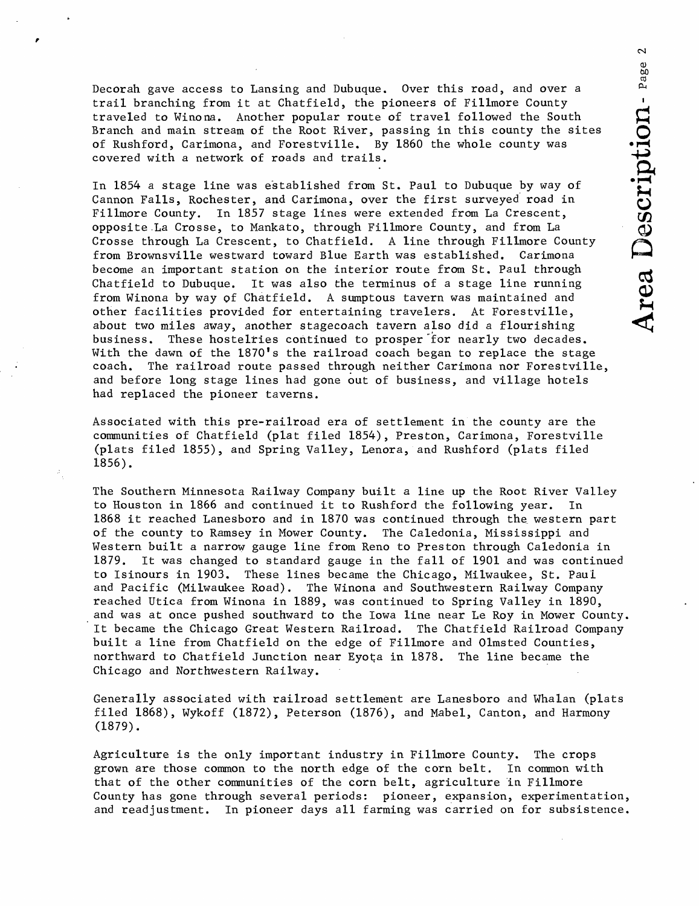Decorah gave access to Lansing and Dubuque. Over this road, and over a trail branching from it at Chatfield, the pioneers of Fillmore County traveled to Winona. Another popular route of travel followed the South Branch and main stream of the Root River, passing in this county the sites of Rushford, Carimona, and Forestville. By 1860 the whole county was covered with a network of roads and trails.

In 1854 a stage line was established from St. Paul to Dubuque by way of Cannon Falls, Rochester, and Carimona, over the first surveyed road in Fillmore County. In 1857 stage lines were extended from La Crescent, opposite La Crosse, to Mankato, through Fillmore County, and from La Crosse through La Crescent, to Chatfield. A line through Fillmore County from Brownsville westward toward Blue Earth was established, Carimona become an important station on the interior route from St. Paul through Chatfield to Dubuque. It was also the terminus of a stage line running from Winona by way of Chatfield. A sumptous tavern was maintained and other facilities provided for entertaining travelers. At Forestville, about two miles away, another stagecoach tavern also did a flourishing business. These hostelries continued to prosper 'for nearly two decades. With the dawn of the  $1870'$ s the railroad coach began to replace the stage coach. The railroad route passed through neither Carimona nor Forestville, and before long stage lines had gone out of business, and village hotels had replaced the pioneer taverns.

Associated with this pre-railroad era of settlement in the county are the communities of Chatfield (plat filed 1854), Preston, Carimona, Forestville (plats filed 1855), and Spring Valley, Lenora, and Rushford (plats filed 1856).

The Southern Minnesota Railway Company built a line up the Root River Valley to Houston in 1866 and continued it to Rushford the following year. In 1868 it reached Lanesboro and in 1870 was continued through the western part of the county to Ramsey in Mower County. The Caledonia, Mississippi and Western built a narrow gauge line from Reno to Preston through Caledonia in 1879. It was changed to standard gauge in the fall of 1901 and was continued to Isinours in 1903. These lines became the Chicago, Milwaukee, St. Paul and Pacific (Milwaukee Road). The Winona and Southwestern Railway Company reached Utica from Winona in 1889, was continued to Spring Valley in 1890, and was at once pushed southward to the Iowa line near Le Roy in Mower County. It became the Chicago Great Western Railroad. The Chatfield Railroad Company built a line from Chatfield on the edge of Fillmore and Olmsted Counties, northward to Chatfield Junction near Eyota in 1878. The line became the Chicago and Northwestern Railway.

Generally associated with railroad settlement are Lanesboro and Whalan (plats filed 1868), Wykoff (1872), Peterson (1876), and Mabel, Canton, and Harmony (1879).

Agriculture is the only important industry in Fillmore County. The crops grown are those common to the north edge of the corn belt. In common with that of the other communities of the corn belt, agriculture in Fillmore County has gone through several periods: pioneer, expansion, experimentation, and readjustment. In pioneer days all farming was carried on for subsistence.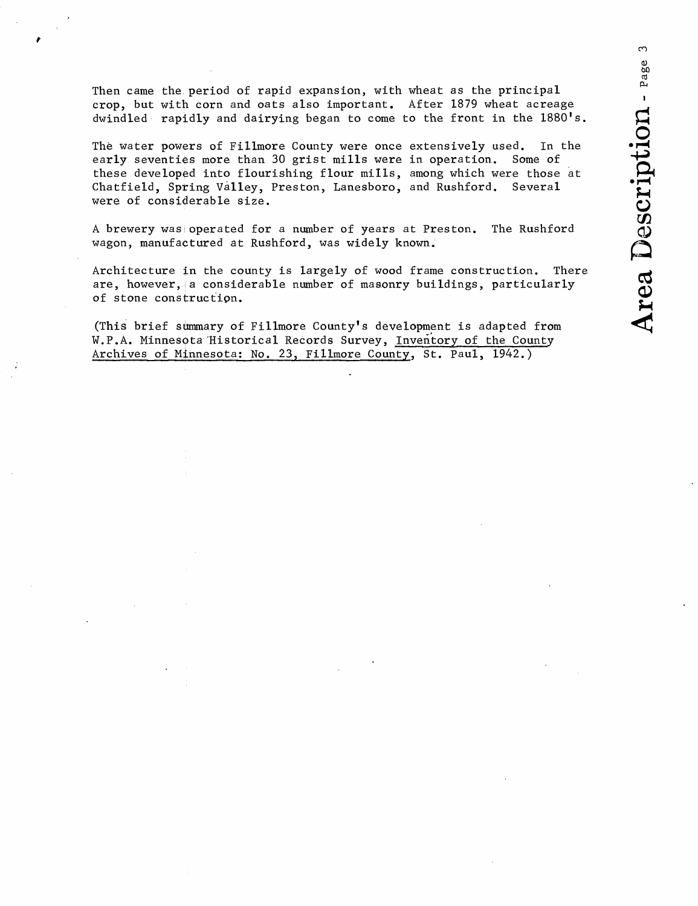Then came the period of rapid expansion, with wheat as the principal crop, but with corn and oats also important. After 1879 wheat acreage dwindled rapidly and dairying began to come to the front in the 1880's.

The water powers of Fillmore County were once extensively used. In the early seventies more than 30 grist mills were in operation. Some of these developed into flourishing flour mills, among which were those at Chatfield, Spring Valley, Preston, Lanesboro, and Rushford. Several were of considerable size.

A brewery was operated for a number of years at Preston. The Rushford wagon, manufactured at Rushford, was widely known.

Architecture in the county is largely of wood frame construction. There are, however, a considerable number of masonry buildings, particularly of stone construction.

(This brief summary of Fillmore County's development is adapted from W.P.A. Minnesota 'Historical Records Survey, Inventory of the County Archives of Minnesota: No. 23, Fillmore County, St. Paul, 1942.)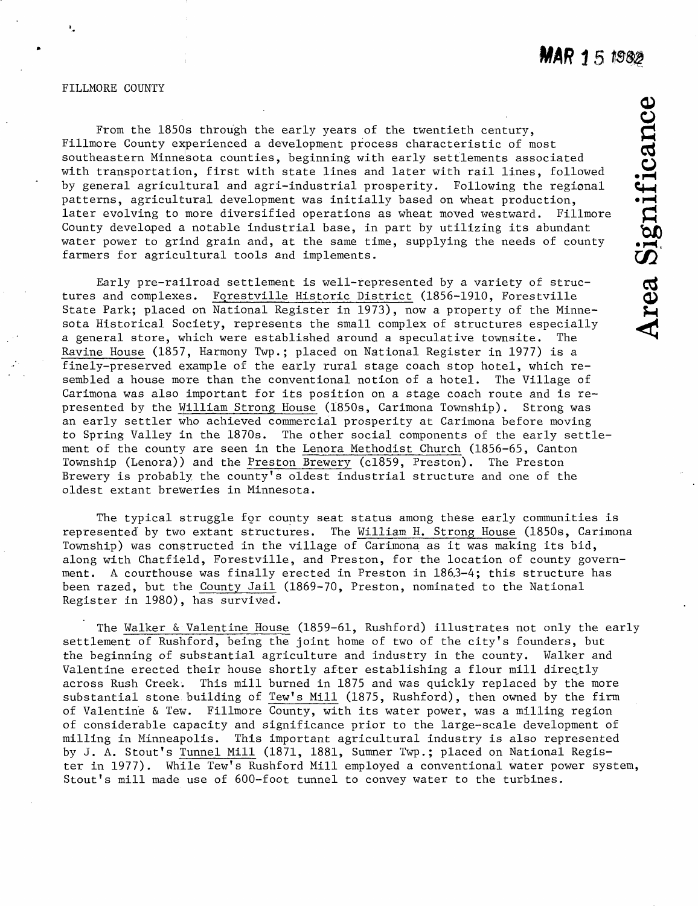#### FILLMORE COUNTY

ŧ.

From the 1850s through the early years of the twentieth century, Fillmore County experienced a development process characteristic of most From the 1850s through the early years of the twentieth century,<br>
Fillmore County experienced a development process characteristic of most<br>
southeastern Minnesota counties, beginning with early settlements associated<br>
with with transportation, first with state lines and later with rail lines, followed by general agricultural and agri-industrial prosperity. Following the regional *f\ ^*  patterns, agricultural development was initially based on wheat production, later evolving to more diversified operations as wheat moved westward. Fillmore County developed a notable industrial base, in part by utilizing its abundant water power to grind grain and, at the same time, supplying the needs of county farmers for agricultural tools and implements.

Early pre-railroad settlement is well-represented by a variety of structures and complexes. Forestville Historic District (1856-1910, Forestville State Park; placed on National Register in 1973), now a property of the Minnesota Historical Society, represents the small complex of structures especially *a* general store, which were established around a speculative townsite. The Ravine House (1857, Harmony Twp.; placed on National Register in 1977) is a finely-preserved example of the early rural stage coach stop hotel, which resembled a house more than the conventional notion of a hotel. The Village of Carimona was also important for its position on a stage coach route and is represented by the William Strong House (1850s, Carimona Township). Strong was an early settler who achieved commercial prosperity at Carimona before moving to Spring Valley in the 1870s. The other social components of the early settlement of the county are seen in the Lenora Methodist Church (1856-65, Canton Township (Lenora)) and the Preston Brewery (c!859, Preston). The Preston Brewery is probably, the county's oldest industrial structure and one of the oldest extant breweries in Minnesota.

The typical struggle for county seat status among these early communities is represented by two extant structures. The William H. Strong House (1850s, Carimona Township) was constructed in the village of Carimona as it was making its bid, along with Chatfield, Forestville, and Preston, for the location of county government. A courthouse was finally erected in Preston in 186,3-4; this structure has been razed, but the County Jail (1869-70, Preston, nominated to the National Register in 1980), has survived.

The Walker & Valentine House (1859-61, Rushford) illustrates not only the early settlement of Rushford, being the joint home of two of the city's founders, but the beginning of substantial agriculture and industry in the county. Walker and Valentine erected their house shortly after establishing a flour mill directly across Rush Creek. This mill burned in 1875 and was quickly replaced by the more substantial stone building of Tew's Mill (1875, Rushford), then owned by the firm of Valentine & Tew. Fillmore County, with its water power, was a milling region of considerable capacity and significance prior to the large-scale development of milling in Minneapolis. This important agricultural industry is also represented by J. A. Stout's Tunnel Mill (1871, 1881, Sumner Twp.; placed on National Register in 1977). While Tew's Rushford Mill employed a conventional water power system, Stout's mill made use of 600-foot tunnel to convey water to the turbines.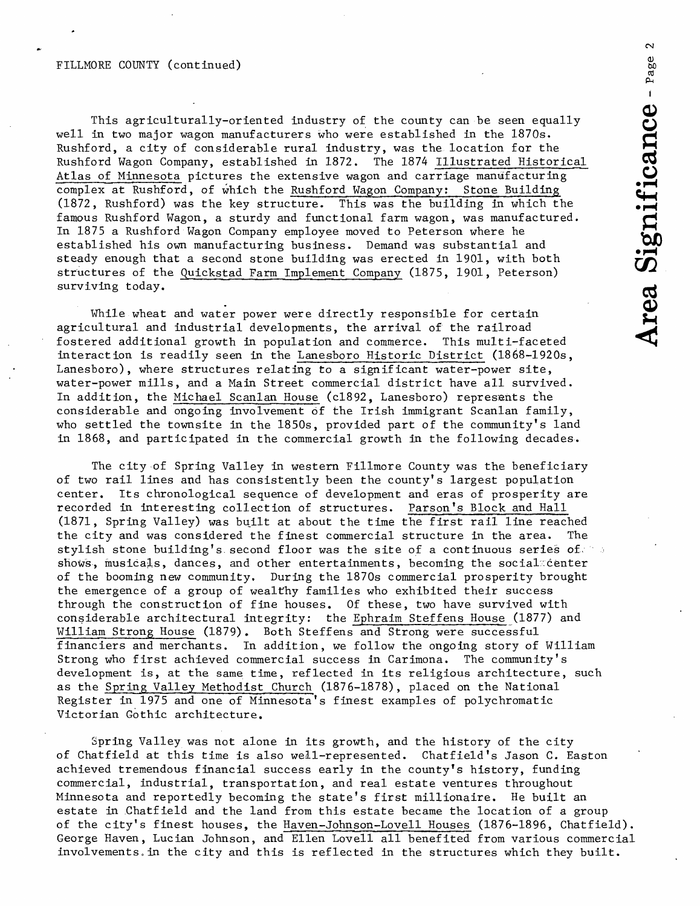This agriculturally-oriented industry of the county can be seen equally well in two major wagon manufacturers who were established in the 1870s. Rushford, a city of considerable rural industry, was the location for the Rushford Wagon Company, established in 1872. The 1874 Illustrated Historical Atlas of Minnesota pictures the extensive wagon and carriage manufacturing complex at Rushford, of which the Rushford Wagon Company: Stone Building (1872, Rushford) was the key structure. This was the building in which the *9f^*  famous Rushford Wagon, a sturdy and functional farm wagon, was manufactured. In 1875 a Rushford Wagon Company employee moved to Peterson where he established his own manufacturing business. Demand was substantial and steady enough that a second stone building was erected in 1901, with both structures of the Quickstad Farm Implement Company (1875, 1901, Peterson) surviving today.

While wheat and water power were directly responsible for certain agricultural and industrial developments, the arrival of the railroad fostered additional growth in population and commerce. This multi-faceted interaction is readily seen in the Lanesboro Historic District (1868-1920s, Lanesboro), where structures relating to a significant water-power site, water-power mills, and a Main Street commercial district have all survived. In addition, the Michael Scanlan House (c1892, Lanesboro) represents the considerable and ongoing involvement of the Irish immigrant Scanlan family, who settled the townsite in the 1850s, provided part of the community's land in 1868, and participated in the commercial growth in the following decades.

The city of Spring Valley in western Fillmore County was the beneficiary of two rail lines and has consistently been the county's largest population center. Its chronological sequence of development and eras of prosperity are recorded in interesting collection of structures. Parson's Block and Hall (1871, Spring Valley) was built at about the time the first rail line reached the city and was considered the finest commercial structure in the area. The stylish stone building's second floor was the site of a continuous series of,  $\rightarrow$ shows, musicals, dances, and other entertainments, becoming the social center of the booming new community. During the 1870s commercial prosperity brought the emergence of a group of wealthy families who exhibited their success through the construction of fine houses. Of these, two have survived with considerable architectural integrity: the Ephraim Steffens Hous^e (1877) and William Strong House (1879). Both Steffens and Strong were successful financiers and merchants. In addition, we follow the ongoing story of William Strong who first achieved commercial success in Carimona. The community's development is, at the same time, reflected in its religious architecture, such as the Spring Valley Methodist Church (1876-1878), placed on the National Register in 1975 and one of Minnesota's finest examples of polychromatic Victorian Gothic architecture.

Spring Valley was not alone in its growth, and the history of the city of Chatfield at this time is also well-represented. Chatfield's Jason C. Easton achieved tremendous financial success early in the county's history, funding commercial, industrial, transportation, and real estate ventures throughout Minnesota and reportedly becoming the state's first millionaire. He built an estate in Chatfield and the land from this estate became the location of a group of the city's finest houses, the Haven-Johnson-Lovell Houses (1876-1896, Chatfield). George Haven, Lucian Johnson, and Ellen Lovell all benefited from various commercial involvements.in the city and this is reflected in the structures which they built.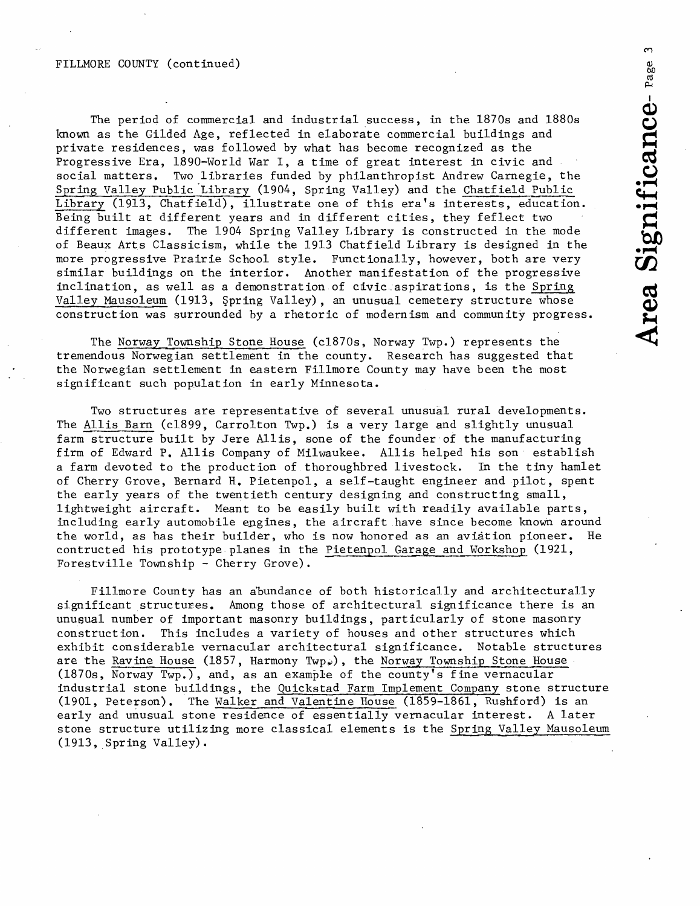#### FILLMORE COUNTY (continued)

a; The period of commercial and industrial success, in the 1870s and 1880s *f\*  known as the Gilded Age, reflected in elaborate commercial buildings and private residences, was followed by what has become recognized as the Progressive Era, 1890-World War I, *a* time of great interest in civic and social matters. Two libraries funded by philanthropist Andrew Carnegie, the ^ Spring Valley Public Library (1904, Spring Valley) and the Chatfield Public Library (1913, Chatfield), illustrate one of this era's interests, education. Being built at different years and in different cities, they feflect two different images. The 1904 Spring Valley Library is constructed in the mode of Beaux Arts Classicism, while the 1913 Chatfield Library is designed in the \* < more progressive Prairie School style. Functionally, however, both are very similar buildings on the interior. Another manifestation of the progressive inclination, as well as a demonstration of civic aspirations, is the Spring Valley Mausoleum (1913, Spring Valley), an unusual cemetery structure whose construction was surrounded by a rhetoric of modernism and community progress. *\*.*

The Norway Township Stone House (c1870s, Norway Twp.) represents the tremendous Norwegian settlement in the county. Research has suggested that the Norwegian settlement in eastern Fillmore County may have been the most significant such population in early Minnesota.

Two structures are representative of several unusual rural developments. The Allis Barn (c1899, Carrolton Twp.) is a very large and slightly unusual farm structure built by Jere Allis, sone of the founder of the manufacturing firm of Edward P. Allis Company of Milwaukee. Allis helped his son establish a farm devoted to the production of thoroughbred livestock. In the tiny hamlet of Cherry Grove, Bernard H. Pietenpol, a self-taught engineer and pilot, spent the early years of the twentieth century designing and constructing small, lightweight aircraft. Meant to be easily built with readily available parts, including early automobile engines, the aircraft have since become known around the world, as has their builder, who is now honored as an aviation pioneer. He contructed his prototype planes in the Pietenpol Garage and Workshop (1921, Forestville Township - Cherry Grove).

Fillmore County has an abundance of both historically and architecturally significant structures. Among those of architectural significance there is an unusual number of important masonry buildings, particularly of stone masonry construction. This includes a variety of houses and other structures which exhibit considerable vernacular architectural significance. Notable structures are the Ravine House (1857, Harmony Twp.), the Norway Township Stone House (1870s, Norway Twp.), and, as an example of the county's fine vernacular industrial stone buildings, the Quickst\_ad Farm Implement Company stone structure (1901, Peterson). The Walker and Valentine House (1859-1861, Rushford) is an early and unusual stone residence of essentially vernacular interest. A later stone structure utilizing more classical elements is the Spring Valley Mausoleum (1913, Spring Valley).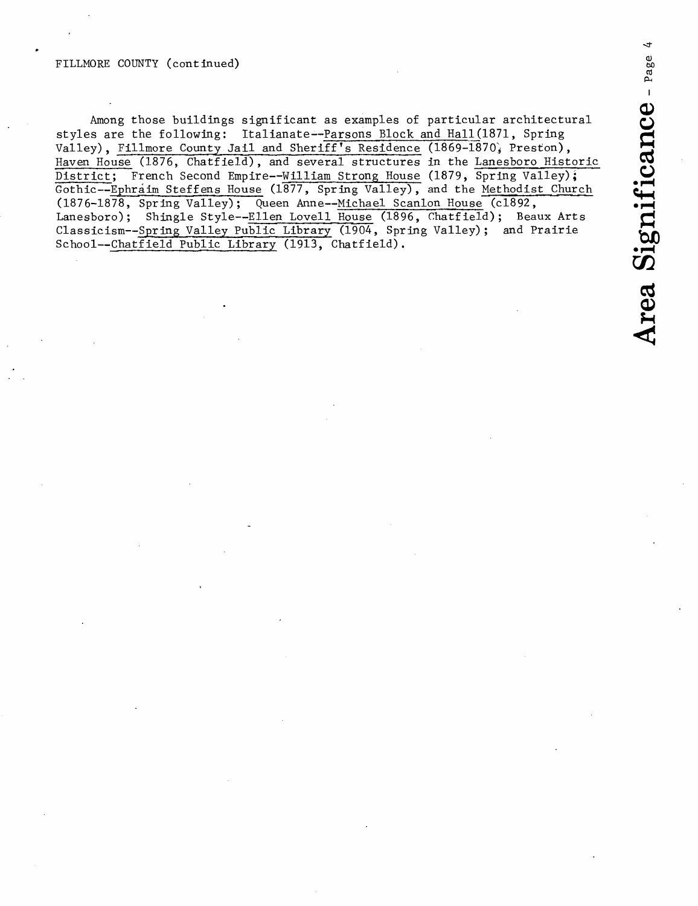#### FILLMORE COUNTY (continued)

Among those buildings significant as examples of particular architectural styles are the following: Italianate--Parsons Block and Hall (1871, Spring Valley). Fillmore County Jail and Sheriff's Residence (1869-1870, Preston), Haven House (1876, Chatfield), and several structures in the Lanesboro Historic District; French Second Empire--William Strong House (1879, Spring Valley); Gothic--Ephraim Steffens House (1877, Spring Valley), and the Methodist Church (1876-1878, Spring Valley); Queen Anne--Michael Scanlon House (c1892, Lanesboro); Shingle Style--Ellen Lovell House (1896, Chatfield); Beaux Arts Classicism--Spring Valley Public Library (1904, Spring Valley); and Prairie School--Chatfield Public Library (1913, Chatfield).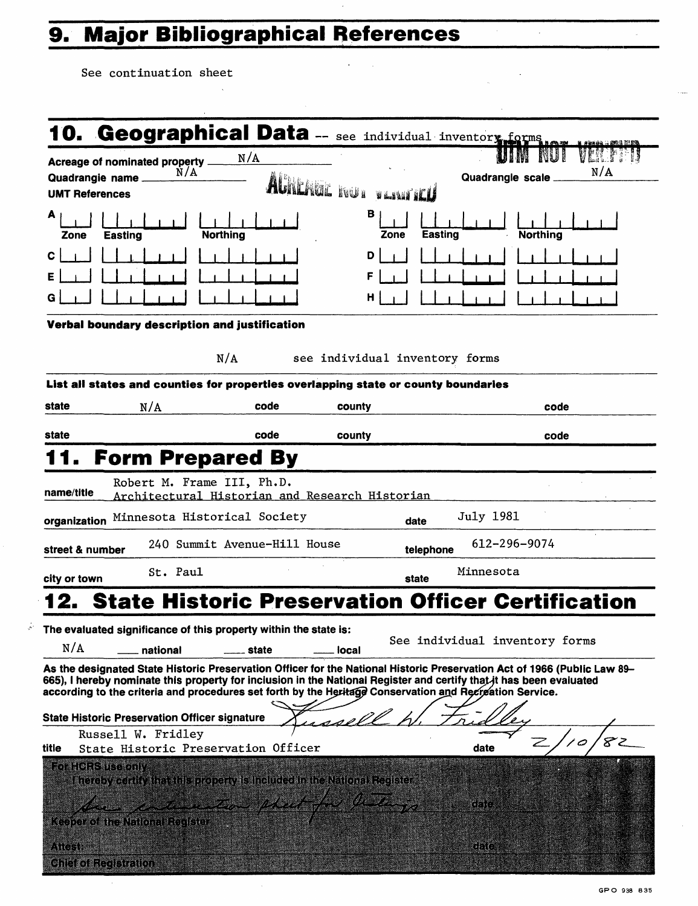# **9. Major Bibliographical References**

 $\bar{\lambda}$ 

See continuation sheet

 $\frac{1}{2} \epsilon$ 

 $\sim$ 

| N/A<br>Acreage of nominated property.<br>N/A<br>N/A<br>Quadrangle scale<br>AGRICAGE ROUR<br><b>VANTILLE</b><br><b>UMT References</b><br>в<br>A<br>Easting<br>Northing<br>Northina<br>Zone<br>Zone<br><b>Easting</b><br>D<br>F<br>н<br>Verbal boundary description and justification<br>N/A<br>see individual inventory forms<br>List all states and counties for properties overlapping state or county boundaries<br>N/A<br>code<br>county<br>code<br>state<br>code<br>county<br>code<br><b>Form Prepared By</b><br>Robert M. Frame III, Ph.D.<br>name/title<br>Architectural Historian and Research Historian<br>July 1981<br>Minnesota Historical Society<br>organization<br>date<br>612-296-9074<br>240 Summit Avenue-Hill House<br>street & number<br>telephone<br>St. Paul<br>Minnesota<br>city or town<br>state<br><b>State Historic Preservation Officer Certification</b><br>2.<br>The evaluated significance of this property within the state is:<br>See individual inventory forms<br>N/A<br>national<br>state<br>local<br>As the designated State Historic Preservation Officer for the National Historic Preservation Act of 1966 (Public Law 89–<br>665), I hereby nominate this property for inciusion in the Nationai Register and certify that it has been evaluated<br>according to the criteria and procedures set forth by the Heritage Conservation and Recreation Service.<br>rsell<br><b>State Historic Preservation Officer signature</b><br>Russell W. Fridley<br>Ζ<br>ہ /<br>State Historic Preservation Officer<br>date<br>title<br>For HCRS use only |                 | 10. Geographical Data -- see individual inventory forms |  |  |
|-----------------------------------------------------------------------------------------------------------------------------------------------------------------------------------------------------------------------------------------------------------------------------------------------------------------------------------------------------------------------------------------------------------------------------------------------------------------------------------------------------------------------------------------------------------------------------------------------------------------------------------------------------------------------------------------------------------------------------------------------------------------------------------------------------------------------------------------------------------------------------------------------------------------------------------------------------------------------------------------------------------------------------------------------------------------------------------------------------------------------------------------------------------------------------------------------------------------------------------------------------------------------------------------------------------------------------------------------------------------------------------------------------------------------------------------------------------------------------------------------------------------------------------------------------------------------------------|-----------------|---------------------------------------------------------|--|--|
|                                                                                                                                                                                                                                                                                                                                                                                                                                                                                                                                                                                                                                                                                                                                                                                                                                                                                                                                                                                                                                                                                                                                                                                                                                                                                                                                                                                                                                                                                                                                                                                   |                 |                                                         |  |  |
|                                                                                                                                                                                                                                                                                                                                                                                                                                                                                                                                                                                                                                                                                                                                                                                                                                                                                                                                                                                                                                                                                                                                                                                                                                                                                                                                                                                                                                                                                                                                                                                   | Quadrangie name |                                                         |  |  |
|                                                                                                                                                                                                                                                                                                                                                                                                                                                                                                                                                                                                                                                                                                                                                                                                                                                                                                                                                                                                                                                                                                                                                                                                                                                                                                                                                                                                                                                                                                                                                                                   |                 |                                                         |  |  |
|                                                                                                                                                                                                                                                                                                                                                                                                                                                                                                                                                                                                                                                                                                                                                                                                                                                                                                                                                                                                                                                                                                                                                                                                                                                                                                                                                                                                                                                                                                                                                                                   |                 |                                                         |  |  |
|                                                                                                                                                                                                                                                                                                                                                                                                                                                                                                                                                                                                                                                                                                                                                                                                                                                                                                                                                                                                                                                                                                                                                                                                                                                                                                                                                                                                                                                                                                                                                                                   | с               |                                                         |  |  |
|                                                                                                                                                                                                                                                                                                                                                                                                                                                                                                                                                                                                                                                                                                                                                                                                                                                                                                                                                                                                                                                                                                                                                                                                                                                                                                                                                                                                                                                                                                                                                                                   | Е               |                                                         |  |  |
|                                                                                                                                                                                                                                                                                                                                                                                                                                                                                                                                                                                                                                                                                                                                                                                                                                                                                                                                                                                                                                                                                                                                                                                                                                                                                                                                                                                                                                                                                                                                                                                   |                 |                                                         |  |  |
|                                                                                                                                                                                                                                                                                                                                                                                                                                                                                                                                                                                                                                                                                                                                                                                                                                                                                                                                                                                                                                                                                                                                                                                                                                                                                                                                                                                                                                                                                                                                                                                   |                 |                                                         |  |  |
|                                                                                                                                                                                                                                                                                                                                                                                                                                                                                                                                                                                                                                                                                                                                                                                                                                                                                                                                                                                                                                                                                                                                                                                                                                                                                                                                                                                                                                                                                                                                                                                   |                 |                                                         |  |  |
|                                                                                                                                                                                                                                                                                                                                                                                                                                                                                                                                                                                                                                                                                                                                                                                                                                                                                                                                                                                                                                                                                                                                                                                                                                                                                                                                                                                                                                                                                                                                                                                   |                 |                                                         |  |  |
|                                                                                                                                                                                                                                                                                                                                                                                                                                                                                                                                                                                                                                                                                                                                                                                                                                                                                                                                                                                                                                                                                                                                                                                                                                                                                                                                                                                                                                                                                                                                                                                   |                 |                                                         |  |  |
|                                                                                                                                                                                                                                                                                                                                                                                                                                                                                                                                                                                                                                                                                                                                                                                                                                                                                                                                                                                                                                                                                                                                                                                                                                                                                                                                                                                                                                                                                                                                                                                   | state           |                                                         |  |  |
|                                                                                                                                                                                                                                                                                                                                                                                                                                                                                                                                                                                                                                                                                                                                                                                                                                                                                                                                                                                                                                                                                                                                                                                                                                                                                                                                                                                                                                                                                                                                                                                   |                 |                                                         |  |  |
|                                                                                                                                                                                                                                                                                                                                                                                                                                                                                                                                                                                                                                                                                                                                                                                                                                                                                                                                                                                                                                                                                                                                                                                                                                                                                                                                                                                                                                                                                                                                                                                   |                 |                                                         |  |  |
|                                                                                                                                                                                                                                                                                                                                                                                                                                                                                                                                                                                                                                                                                                                                                                                                                                                                                                                                                                                                                                                                                                                                                                                                                                                                                                                                                                                                                                                                                                                                                                                   |                 |                                                         |  |  |
|                                                                                                                                                                                                                                                                                                                                                                                                                                                                                                                                                                                                                                                                                                                                                                                                                                                                                                                                                                                                                                                                                                                                                                                                                                                                                                                                                                                                                                                                                                                                                                                   |                 |                                                         |  |  |
|                                                                                                                                                                                                                                                                                                                                                                                                                                                                                                                                                                                                                                                                                                                                                                                                                                                                                                                                                                                                                                                                                                                                                                                                                                                                                                                                                                                                                                                                                                                                                                                   |                 |                                                         |  |  |
|                                                                                                                                                                                                                                                                                                                                                                                                                                                                                                                                                                                                                                                                                                                                                                                                                                                                                                                                                                                                                                                                                                                                                                                                                                                                                                                                                                                                                                                                                                                                                                                   |                 |                                                         |  |  |
|                                                                                                                                                                                                                                                                                                                                                                                                                                                                                                                                                                                                                                                                                                                                                                                                                                                                                                                                                                                                                                                                                                                                                                                                                                                                                                                                                                                                                                                                                                                                                                                   |                 |                                                         |  |  |
|                                                                                                                                                                                                                                                                                                                                                                                                                                                                                                                                                                                                                                                                                                                                                                                                                                                                                                                                                                                                                                                                                                                                                                                                                                                                                                                                                                                                                                                                                                                                                                                   |                 |                                                         |  |  |
|                                                                                                                                                                                                                                                                                                                                                                                                                                                                                                                                                                                                                                                                                                                                                                                                                                                                                                                                                                                                                                                                                                                                                                                                                                                                                                                                                                                                                                                                                                                                                                                   |                 |                                                         |  |  |
|                                                                                                                                                                                                                                                                                                                                                                                                                                                                                                                                                                                                                                                                                                                                                                                                                                                                                                                                                                                                                                                                                                                                                                                                                                                                                                                                                                                                                                                                                                                                                                                   |                 |                                                         |  |  |
|                                                                                                                                                                                                                                                                                                                                                                                                                                                                                                                                                                                                                                                                                                                                                                                                                                                                                                                                                                                                                                                                                                                                                                                                                                                                                                                                                                                                                                                                                                                                                                                   |                 |                                                         |  |  |
|                                                                                                                                                                                                                                                                                                                                                                                                                                                                                                                                                                                                                                                                                                                                                                                                                                                                                                                                                                                                                                                                                                                                                                                                                                                                                                                                                                                                                                                                                                                                                                                   |                 |                                                         |  |  |
|                                                                                                                                                                                                                                                                                                                                                                                                                                                                                                                                                                                                                                                                                                                                                                                                                                                                                                                                                                                                                                                                                                                                                                                                                                                                                                                                                                                                                                                                                                                                                                                   |                 |                                                         |  |  |
|                                                                                                                                                                                                                                                                                                                                                                                                                                                                                                                                                                                                                                                                                                                                                                                                                                                                                                                                                                                                                                                                                                                                                                                                                                                                                                                                                                                                                                                                                                                                                                                   |                 |                                                         |  |  |
| Thereby certify that this property is included in the National Register                                                                                                                                                                                                                                                                                                                                                                                                                                                                                                                                                                                                                                                                                                                                                                                                                                                                                                                                                                                                                                                                                                                                                                                                                                                                                                                                                                                                                                                                                                           |                 |                                                         |  |  |
|                                                                                                                                                                                                                                                                                                                                                                                                                                                                                                                                                                                                                                                                                                                                                                                                                                                                                                                                                                                                                                                                                                                                                                                                                                                                                                                                                                                                                                                                                                                                                                                   |                 |                                                         |  |  |
| have a temption plast for his go<br>tiato.<br><b>Keeper of the National Register</b>                                                                                                                                                                                                                                                                                                                                                                                                                                                                                                                                                                                                                                                                                                                                                                                                                                                                                                                                                                                                                                                                                                                                                                                                                                                                                                                                                                                                                                                                                              |                 |                                                         |  |  |
| ATGER<br>GHC                                                                                                                                                                                                                                                                                                                                                                                                                                                                                                                                                                                                                                                                                                                                                                                                                                                                                                                                                                                                                                                                                                                                                                                                                                                                                                                                                                                                                                                                                                                                                                      |                 |                                                         |  |  |

 $\alpha$  $\sim$ 

 $\bar{z}$ 

 $\bar{\mathcal{L}}$  , and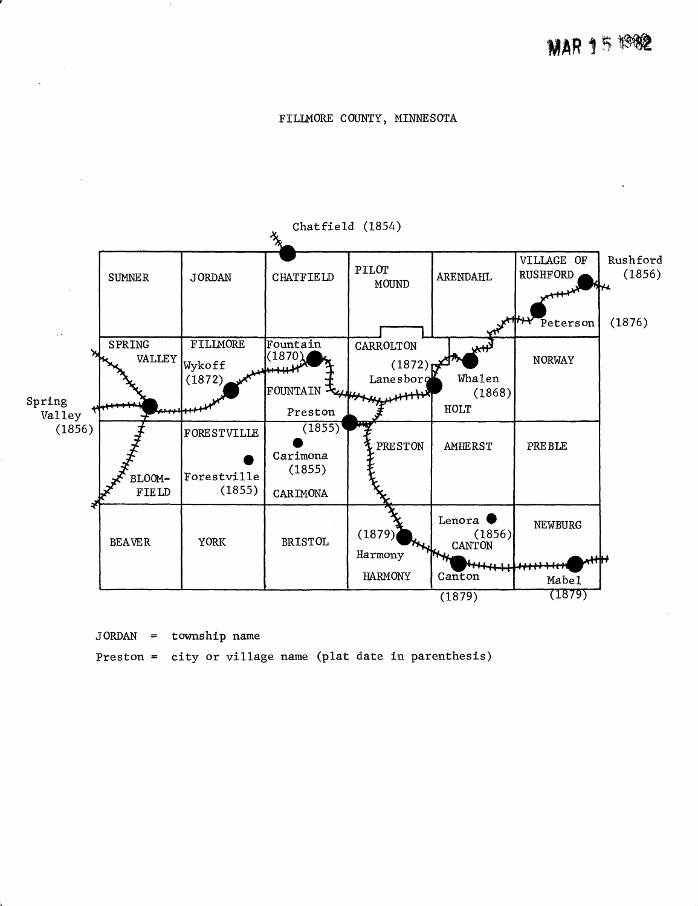#### FILLMORE COUNTY, MINNESOTA



JORDAN = township name

Preston = city or village name (plat date in parenthesis)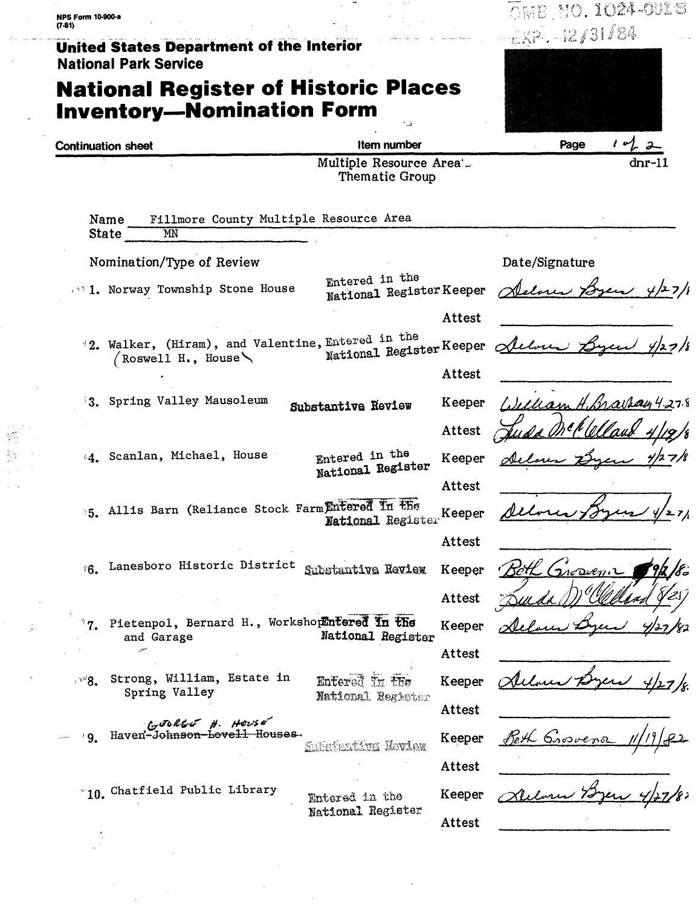$\odot$ mb (Mo. 1024-0018 **NPS Form 10-900-a**  $(7-81)$  $-12/31/84$ **United States Department of the Interior National Park Service National Register of Historic Places Inventory-Nomination Form Continuation sheet** Item number Page Multiple Resource Area'... dnr-11 Thematic Group Fillmore County Multiple Resource Area Name **State** MN Nomination/Type of Review Date/Signature Entered in the National Register Keeper 1. Norway Township Stone House Attest  $12.$  Walker, (Hiram), and Valentine, Entered in the National Register Keeper delve  $($  Roswell H., House Attest 3. Spring Valley Mausoleum Keeper Substantive Review Attest Entered in the 44. Scanlan, Michael, House Keeper National Register Attest 75. Allis Barn (Reliance Stock Farm Entered In the Keeper National Register Attest 6. Lanesboro Historic District Substantive Review Keeper Attest 7. Pietenpol, Bernard H., WorkshopEnfered in the Keeper National Register and Garage Attest Strong, William, Estate in  $5\%$ Entered In the Keeper Spring Valley National Register Attest  $c<sub>x</sub>$  soll of  $\theta$ . House g. Haven-Johnson-Lovell Houses Peth Grovena Keeper Substantive Neview Attest ~10. Chatfield Public Library XWarry 72 Keeper Entered in the National Register Attest